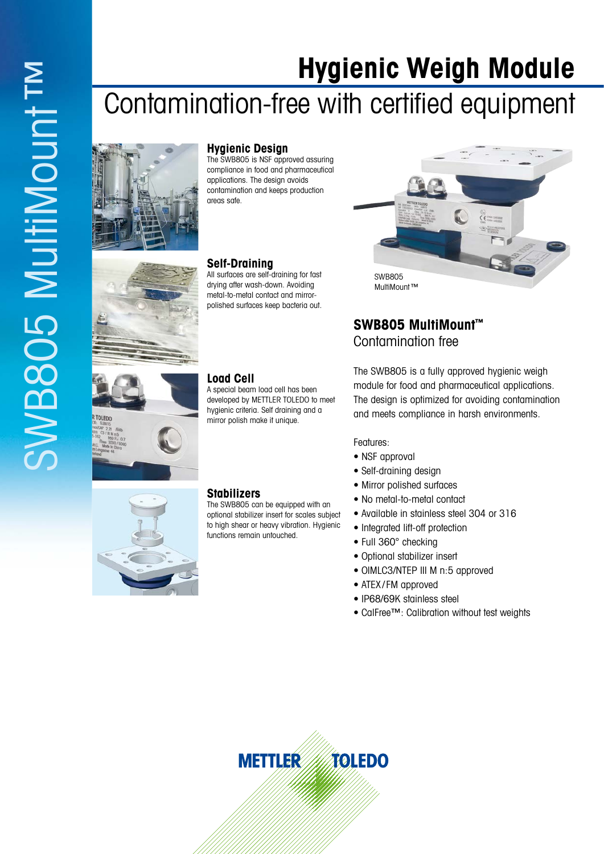# **Hygienic Weigh Module**

# Contamination-free with certified equipment



### **Hygienic Design**

The SWB805 is NSF approved assuring compliance in food and pharmaceutical applications. The design avoids contamination and keeps production areas safe.

#### **Self-Draining**

All surfaces are self-draining for fast drying after wash-down. Avoiding metal-to-metal contact and mirrorpolished surfaces keep bacteria out.

A special beam load cell has been developed by METTLER TOLEDO to meet hygienic criteria. Self draining and a mirror polish make it unique.



# **SWB805 MultiMount™** Contamination free

The SWB805 is a fully approved hygienic weigh module for food and pharmaceutical applications. The design is optimized for avoiding contamination and meets compliance in harsh environments.

Features:

- NSF approval
- Self-draining design
- Mirror polished surfaces
- No metal-to-metal contact
- Available in stainless steel 304 or 316
- Integrated lift-off protection
- Full 360° checking
- Optional stabilizer insert
- OIMLC3/NTEP III M n:5 approved
- ATEX/FM approved
- IP68/69K stainless steel
- CalFree™: Calibration without test weights





#### **Stabilizers**

**Load Cell**

The SWB805 can be equipped with an optional stabilizer insert for scales subject to high shear or heavy vibration. Hygienic functions remain untouched.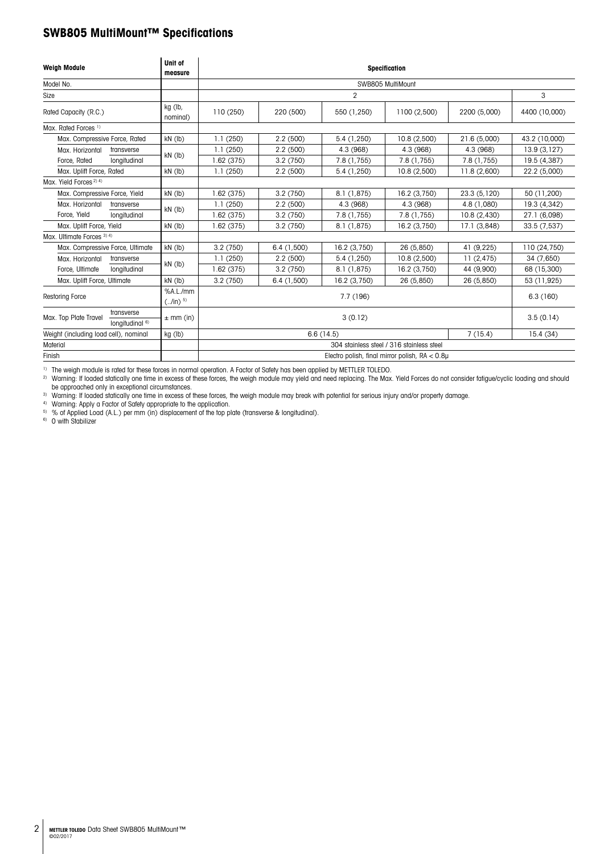# **SWB805 MultiMount™ Specifications**

| <b>Weigh Module</b>                   |                                          | Unit of<br>measure       | <b>Specification</b> |                      |              |                                                |              |               |  |  |  |
|---------------------------------------|------------------------------------------|--------------------------|----------------------|----------------------|--------------|------------------------------------------------|--------------|---------------|--|--|--|
| Model No.                             |                                          |                          | SWB805 MultiMount    |                      |              |                                                |              |               |  |  |  |
| Size                                  |                                          |                          |                      | 2                    |              |                                                |              |               |  |  |  |
| Rated Capacity (R.C.)                 |                                          | kg (lb,<br>nominal)      | 110(250)             | 220 (500)            | 550 (1,250)  | 1100 (2,500)                                   | 2200 (5,000) | 4400 (10,000) |  |  |  |
| Max. Rated Forces <sup>1)</sup>       |                                          |                          |                      |                      |              |                                                |              |               |  |  |  |
| Max. Compressive Force, Rated         |                                          | $kN$ (lb)                | 1.1(250)             | 2.2(500)             | 5.4 (1,250)  | 10.8(2,500)                                    | 21.6 (5,000) | 43.2 (10,000) |  |  |  |
| Max. Horizontal                       | transverse                               |                          | 1.1(250)             | 2.2(500)             | 4.3 (968)    | 4.3 (968)                                      | 4.3 (968)    | 13.9(3,127)   |  |  |  |
| Force, Rated                          | longitudinal                             | $kN$ (lb)                | 1.62(375)            | 3.2(750)             | 7.8 (1,755)  | 7.8 (1,755)                                    | 7.8 (1,755)  | 19.5 (4,387)  |  |  |  |
| Max. Uplift Force, Rated              |                                          | $kN$ (lb)                | 1.1(250)             | 2.2(500)             | 5.4 (1,250)  | 10.8(2,500)                                    | 11.8 (2,600) | 22.2 (5,000)  |  |  |  |
| Max. Yield Forces <sup>2) 4)</sup>    |                                          |                          |                      |                      |              |                                                |              |               |  |  |  |
| Max. Compressive Force, Yield         |                                          | $kN$ (lb)                | 1.62(375)            | 3.2(750)             | 8.1(1,875)   | 16.2 (3,750)                                   | 23.3 (5,120) | 50 (11,200)   |  |  |  |
| Max. Horizontal                       | transverse                               |                          | 1.1(250)             | 2.2(500)             | 4.3 (968)    | 4.3 (968)                                      | 4.8 (1,080)  | 19.3 (4,342)  |  |  |  |
| Force, Yield                          | longitudinal                             | $kN$ (lb)                | 1.62(375)            | 3.2(750)             | 7.8(1,755)   | 7.8(1,755)                                     | 10.8 (2,430) | 27.1 (6,098)  |  |  |  |
| Max. Uplift Force, Yield              |                                          | $kN$ (lb)                | 1.62(375)            | 3.2(750)             | 8.1 (1,875)  | 16.2 (3,750)                                   | 17.1 (3,848) | 33.5 (7,537)  |  |  |  |
| Max. Ultimate Forces 3) 4)            |                                          |                          |                      |                      |              |                                                |              |               |  |  |  |
| Max. Compressive Force, Ultimate      |                                          | $kN$ (lb)                | 3.2(750)             | 6.4(1,500)           | 16.2 (3,750) | 26 (5,850)                                     | 41 (9,225)   | 110 (24,750)  |  |  |  |
| Max. Horizontal                       | transverse                               | $kN$ ( $lb$ )            | 1.1(250)             | 2.2(500)             | 5.4 (1,250)  | 10.8(2,500)                                    | 11(2,475)    | 34 (7,650)    |  |  |  |
| Force, Ultimate                       | longitudinal                             |                          | 1.62(375)            | 3.2(750)             | 8.1(1,875)   | 16.2 (3,750)                                   | 44 (9,900)   | 68 (15,300)   |  |  |  |
| Max. Uplift Force, Ultimate           |                                          | $kN$ (lb)                | 3.2(750)             | 6.4(1,500)           | 16.2 (3,750) | 26 (5,850)                                     | 26 (5,850)   | 53 (11,925)   |  |  |  |
| Restoring Force                       |                                          | %A.L./mm<br>$(./in)^{5}$ |                      | 7.7 (196)            |              |                                                |              |               |  |  |  |
| Max. Top Plate Travel                 | transverse<br>longitudinal <sup>6)</sup> | $\pm$ mm (in)            |                      | 3.5(0.14)<br>3(0.12) |              |                                                |              |               |  |  |  |
| Weight (including load cell), nominal |                                          | kg (lb)                  |                      |                      | 6.6(14.5)    |                                                | 7(15.4)      | 15.4(34)      |  |  |  |
| Material                              |                                          |                          |                      |                      |              | 304 stainless steel / 316 stainless steel      |              |               |  |  |  |
| Finish                                |                                          |                          |                      |                      |              | Electro polish, final mirror polish, RA < 0.8µ |              |               |  |  |  |

1) The weigh module is rated for these forces in normal operation. A Factor of Safety has been applied by METTLER TOLEDO.

<sup>2)</sup> Warning: If loaded statically one time in excess of these forces, the weigh module may yield and need replacing. The Max. Yield Forces do not consider fatigue/cyclic loading and should be approached only in exceptiona

be approached only in exceptional enceptional circumstances.<br>3) Warning: If loaded statically one time in excess of these forces, the weigh module may break with potential for serious injury and/or property damage.

4) Warning: Apply a Factor of Safety appropriate to the application.

5) % of Applied Load (A.L.) per mm (in) displacement of the top plate (transverse & longitudinal).

6) 0 with Stabilizer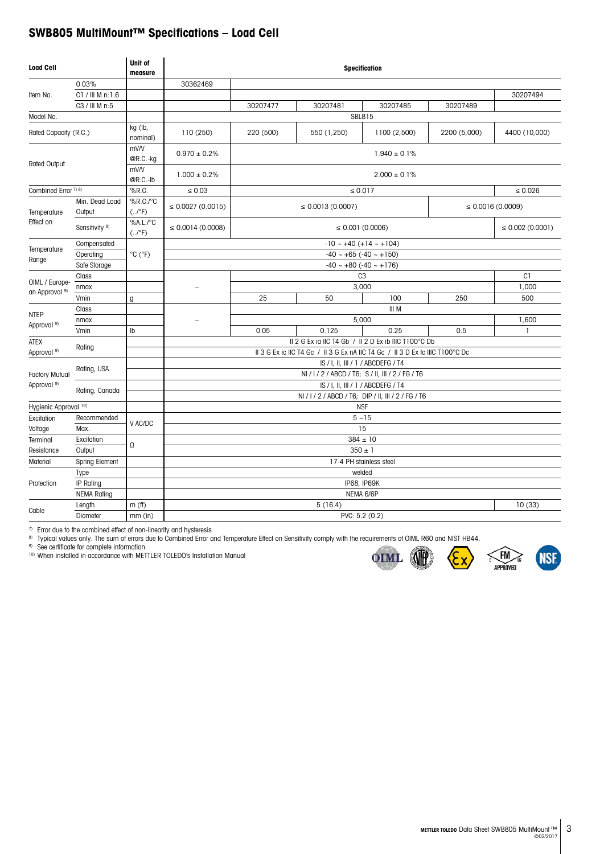## **SWB805 MultiMount™ Specifications – Load Cell**

| <b>Load Cell</b>                            |                           | Unit of<br>measure                  |                                    |                                                |                                                                               |                                                     |              |                       |  |  |  |
|---------------------------------------------|---------------------------|-------------------------------------|------------------------------------|------------------------------------------------|-------------------------------------------------------------------------------|-----------------------------------------------------|--------------|-----------------------|--|--|--|
|                                             | 0.03%                     |                                     | 30362469                           |                                                |                                                                               |                                                     |              |                       |  |  |  |
| Item No.                                    | C1 / III M n:1.6          |                                     |                                    |                                                |                                                                               |                                                     |              | 30207494              |  |  |  |
|                                             | C3 / III M n:5            |                                     |                                    | 30207477                                       | 30207481                                                                      | 30207485                                            | 30207489     |                       |  |  |  |
| Model No.                                   |                           |                                     |                                    |                                                |                                                                               | SBL815                                              |              |                       |  |  |  |
| Rated Capacity (R.C.)                       |                           | kg (lb,<br>nominal)                 | 110(250)                           | 220 (500)                                      | 550 (1,250)                                                                   | 1100 (2,500)                                        | 2200 (5,000) | 4400 (10,000)         |  |  |  |
| Rated Output                                |                           | mV/V<br>@R.C.-kg                    | $0.970 \pm 0.2\%$                  |                                                |                                                                               |                                                     |              |                       |  |  |  |
|                                             |                           | mV/V<br>@R.C.-lb                    | $1.000 \pm 0.2\%$                  |                                                |                                                                               |                                                     |              |                       |  |  |  |
| Combined Error <sup>7) 8)</sup>             |                           | %R.C.                               | $\leq 0.03$                        |                                                |                                                                               | $\leq 0.017$                                        |              | $\leq 0.026$          |  |  |  |
| Temperature                                 | Min. Dead Load<br>Output  | %R.C./°C<br>$(.$ / $°$ F)           | $\leq 0.0027(0.0015)$              |                                                | $\leq$ 0.0013 (0.0007)                                                        |                                                     |              | $\leq 0.0016(0.0009)$ |  |  |  |
| Effect on                                   | Sensitivity <sup>8)</sup> | %A.L./°C<br>$(.$ / $\rm ^{\circ}F)$ | $\leq 0.0014(0.0008)$              | $\leq$ 0.002 (0.0001)<br>$\leq 0.001$ (0.0006) |                                                                               |                                                     |              |                       |  |  |  |
|                                             | Compensated               |                                     |                                    | $-10 - +40 (+14 - +104)$                       |                                                                               |                                                     |              |                       |  |  |  |
| Temperature<br>Range                        | Operating                 | °C (°F)                             | $-40 \sim +65 (-40 \sim +150)$     |                                                |                                                                               |                                                     |              |                       |  |  |  |
|                                             | Safe Storage              |                                     |                                    | $-40 \sim +80 (-40 \sim +176)$                 |                                                                               |                                                     |              |                       |  |  |  |
| OIML / Europe-<br>an Approval <sup>9)</sup> | Class                     |                                     |                                    |                                                |                                                                               | C <sub>3</sub>                                      |              | C1                    |  |  |  |
|                                             | nmax                      |                                     |                                    |                                                | 1,000                                                                         |                                                     |              |                       |  |  |  |
|                                             | Vmin                      | g                                   |                                    | 25                                             | 50                                                                            | 100                                                 | 250          | 500                   |  |  |  |
| <b>NTEP</b>                                 | Class                     |                                     |                                    |                                                |                                                                               |                                                     |              |                       |  |  |  |
| Approval <sup>9)</sup>                      | nmax                      |                                     |                                    |                                                | 1,600                                                                         |                                                     |              |                       |  |  |  |
|                                             | Vmin                      | Ib                                  |                                    | 0.05                                           | 0.125                                                                         | 0.25                                                | 0.5          | 1                     |  |  |  |
| <b>ATEX</b>                                 | Rating                    |                                     |                                    |                                                | II 2 G Ex ia IIC T4 Gb / II 2 D Ex ib IIIC T100°C Db                          |                                                     |              |                       |  |  |  |
| Approval <sup>9)</sup>                      |                           |                                     |                                    |                                                | II 3 G Ex ic IIC T4 Gc / II 3 G Ex nA IIC T4 Gc / II 3 D Ex tc IIIC T100°C Dc |                                                     |              |                       |  |  |  |
|                                             | Rating, USA               |                                     | IS / I. II. III / 1 / ABCDEFG / T4 |                                                |                                                                               |                                                     |              |                       |  |  |  |
| <b>Factory Mutual</b>                       |                           |                                     |                                    |                                                |                                                                               | NI/I/2/ABCD/T6; S/II, III/2/FG/T6                   |              |                       |  |  |  |
| Approval <sup>9)</sup>                      | Rating, Canada            |                                     |                                    |                                                |                                                                               | IS / I. II. III / 1 / ABCDEFG / T4                  |              |                       |  |  |  |
|                                             |                           |                                     |                                    |                                                |                                                                               | NI / I / 2 / ABCD / T6; DIP / II, III / 2 / FG / T6 |              |                       |  |  |  |
| Hygienic Approval 10)                       |                           |                                     |                                    |                                                |                                                                               | <b>NSF</b>                                          |              |                       |  |  |  |
| Excitation<br>Voltage                       | Recommended<br>Max.       | V AC/DC                             |                                    |                                                |                                                                               | $5 - 15$<br>15                                      |              |                       |  |  |  |
| Terminal                                    | Excitation                |                                     |                                    |                                                |                                                                               | $384 \pm 10$                                        |              |                       |  |  |  |
| Resistance                                  | Output                    | Ω                                   |                                    |                                                |                                                                               | $350 + 1$                                           |              |                       |  |  |  |
| Material                                    | Spring Element            |                                     |                                    |                                                |                                                                               | 17-4 PH stainless steel                             |              |                       |  |  |  |
|                                             | Type                      |                                     |                                    |                                                |                                                                               | welded                                              |              |                       |  |  |  |
| Protection                                  | IP Rating                 |                                     |                                    |                                                |                                                                               | IP68, IP69K                                         |              |                       |  |  |  |
|                                             | <b>NEMA Rating</b>        |                                     |                                    |                                                |                                                                               | NEMA 6/6P                                           |              |                       |  |  |  |
| Cable                                       | Length                    | $m$ (ff)                            |                                    |                                                | 5(16.4)                                                                       |                                                     |              | 10(33)                |  |  |  |
|                                             | Diameter                  | $mm$ (in)                           |                                    |                                                |                                                                               | PVC: 5.2 (0.2)                                      |              |                       |  |  |  |

7) Error due to the combined effect of non-linearity and hysteresis

8) Typical values only. The sum of errors due to Combined Error and Temperature Effect on Sensitivity comply with the requirements of OIML R60 and NIST HB44.

<sup>9)</sup> See certificate for complete information.

10) When installed in accordance with METTLER TOLEDO's Installation Manual



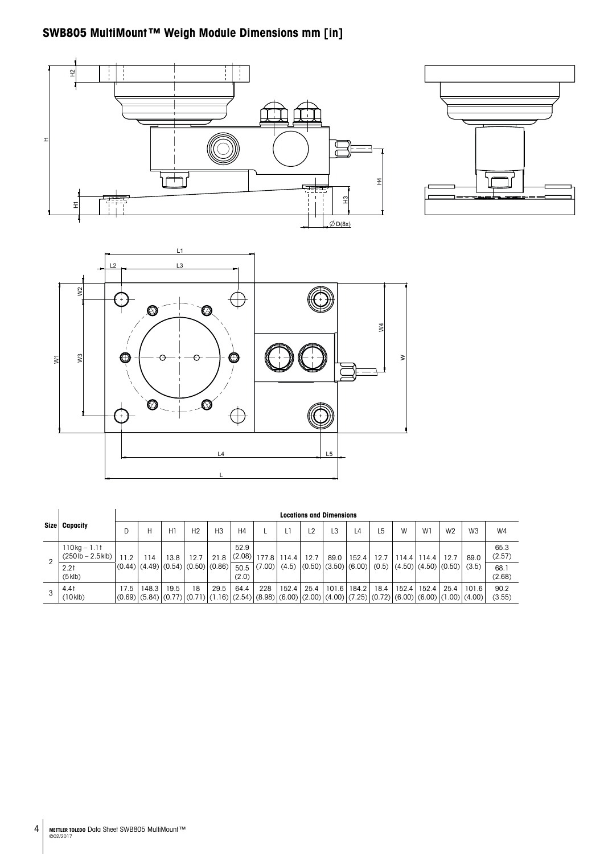# **SWB805 MultiMount™ Weigh Module Dimensions mm [in]**







|      |                                                         |      | <b>Locations and Dimensions</b> |      |                                              |                                                                                                                                                                  |                |             |       |                |       |                                                    |      |       |       |                |                |                |
|------|---------------------------------------------------------|------|---------------------------------|------|----------------------------------------------|------------------------------------------------------------------------------------------------------------------------------------------------------------------|----------------|-------------|-------|----------------|-------|----------------------------------------------------|------|-------|-------|----------------|----------------|----------------|
| Size | Capacity                                                | D    |                                 | H1   | H <sub>2</sub>                               | H <sub>3</sub>                                                                                                                                                   | H4             |             |       | L <sub>2</sub> | L3    | L4                                                 | L5   | W     | W1    | W <sub>2</sub> | W <sub>3</sub> | W <sub>4</sub> |
|      | $110 kg - 1.1t$<br>$(250 \text{ lb} - 2.5 \text{ klb})$ | 11.2 | 14                              | 13.8 | 12.7                                         | 21.8                                                                                                                                                             | 52.9<br>(2.08) | 177.8 114.4 |       | 12.7           | 89.0  | 152.4                                              | 12.7 | 114.4 | 114.4 | 12.7           | 89.0           | 65.3<br>(2.57) |
|      | 2.2 <sub>1</sub><br>$(5$ klb)                           |      |                                 |      | $(0.44)$ $(4.49)$ $(0.54)$ $(0.50)$ $(0.86)$ |                                                                                                                                                                  | 50.5<br>(2.0)  | $(7.00)$ .  | (4.5) |                |       | $ (0.50) (3.50) (6.00) (0.5) (4.50) (4.50) (0.50)$ |      |       |       |                | (3.5)          | 68.1<br>(2.68) |
| 3    | 4.41<br>$(10$ klb)                                      | 17.5 | 148.3                           | 19.5 | 18                                           | 29.5<br>$(0.69)$ $(5.84)$ $(0.77)$ $(0.71)$ $(1.16)$ $(2.54)$ $(8.98)$ $(6.00)$ $(2.00)$ $(4.00)$ $(7.25)$ $(0.72)$ $(6.00)$ $(6.00)$ $(6.00)$ $(1.00)$ $(4.00)$ | 64.4           | 228         | 152.4 | 25.4           | 101.6 | 184.2                                              | 18.4 | 152.4 | 152.4 | 25.4           | 101.6          | 90.2<br>(3.55) |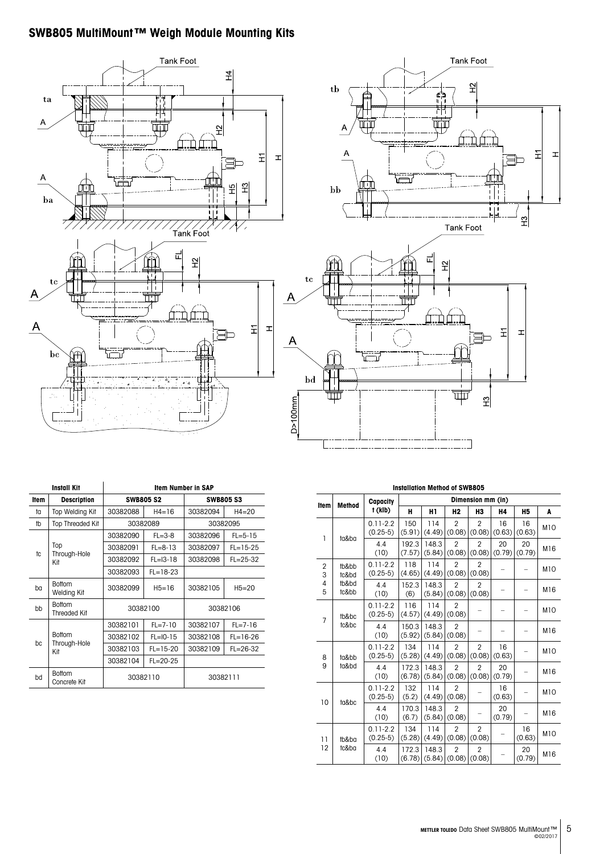# **SWB805 MultiMount™ Weigh Module Mounting Kits**





|             | <b>Install Kit</b>            | <b>Item Number in SAP</b> |                  |                  |                |  |  |  |
|-------------|-------------------------------|---------------------------|------------------|------------------|----------------|--|--|--|
| <b>Item</b> | <b>Description</b>            |                           | <b>SWB805 S2</b> | <b>SWB805 S3</b> |                |  |  |  |
| tα          | Top Welding Kit               | 30382088                  | $H4 = 16$        | 30382094         | $H4 = 20$      |  |  |  |
| tb          | <b>Top Threaded Kit</b>       |                           | 30382089         |                  | 30382095       |  |  |  |
|             |                               | 30382090                  | $FL = 3-8$       | 30382096         | $FL = 5 - 15$  |  |  |  |
| tc          | Top                           | 30382091                  | $FL = 8 - 13$    | 30382097         | $FL = 15 - 25$ |  |  |  |
|             | Through-Hole<br>Kit           | 30382092                  | $FL = 13 - 18$   | 30382098         | $FL = 25 - 32$ |  |  |  |
|             |                               | 30382093                  | $FL = 18 - 23$   |                  |                |  |  |  |
| ba          | <b>Bottom</b><br>Welding Kit  | 30382099                  | $H5 = 16$        | 30382105         | $H5 = 20$      |  |  |  |
| bb          | <b>Bottom</b><br>Threaded Kit |                           | 30382100         |                  | 30382106       |  |  |  |
|             |                               | 30382101                  | $FL = 7 - 10$    | 30382107         | $FL = 7 - 16$  |  |  |  |
| bc          | <b>Bottom</b>                 | 30382102                  | $FL = 10 - 15$   | 30382108         | $FL = 16 - 26$ |  |  |  |
|             | Through-Hole<br>Kit           | 30382103                  | $FL = 15 - 20$   | 30382109         | $FL = 26 - 32$ |  |  |  |
|             |                               | 30382104                  | $FL = 20 - 25$   |                  |                |  |  |  |
| bd          | <b>Bottom</b><br>Concrete Kit |                           | 30382110         | 30382111         |                |  |  |  |

| <b>Installation Method of SWB805</b> |                                  |                            |                 |                   |                          |                                   |              |              |                 |  |  |  |
|--------------------------------------|----------------------------------|----------------------------|-----------------|-------------------|--------------------------|-----------------------------------|--------------|--------------|-----------------|--|--|--|
|                                      | <b>Method</b>                    | Capacity                   |                 | Dimension mm (in) |                          |                                   |              |              |                 |  |  |  |
| Item                                 |                                  | t (klb)                    | н               | H1                | H <sub>2</sub>           | H3                                | Η4           | <b>H5</b>    | A               |  |  |  |
| 1                                    |                                  | $0.11 - 2.2$<br>$(0.25-5)$ | 150<br>(5.91)   | 114<br>(4.49)     | $\overline{2}$<br>(0.08) | $\overline{2}$<br>(0.08)          | 16<br>(0.63) | 16<br>(0.63) | <b>M10</b>      |  |  |  |
|                                      | ta&ba                            | 4.4<br>(10)                | 192.3<br>(7.57) | 148.3<br>(5.84)   | $\overline{2}$<br>(0.08) | $\overline{2}$<br>(0.08)          | 20<br>(0.79) | 20<br>(0.79) | M16             |  |  |  |
| $\overline{2}$<br>3                  | tb&bb<br>tc&bd                   | $0.11 - 2.2$<br>$(0.25-5)$ | 118<br>(4.65)   | 114<br>(4.49)     | $\overline{2}$<br>(0.08) | $\overline{2}$<br>(0.08)          |              |              | <b>M10</b>      |  |  |  |
| 4<br>5                               | tb&bd<br>tc&bb                   | 4.4<br>(10)                | 152.3<br>(6)    | 148.3<br>(5.84)   | $\overline{2}$<br>(0.08) | $\overline{2}$<br>(0.08)          |              |              | M16             |  |  |  |
|                                      | tb&bc<br>$\overline{7}$<br>tc&bc | $0.11 - 2.2$<br>$(0.25-5)$ | 116<br>(4.57)   | 114<br>(4.49)     | $\overline{2}$<br>(0.08) |                                   |              |              | <b>M10</b>      |  |  |  |
|                                      |                                  | 4.4<br>(10)                | 150.3<br>(5.92) | 148.3<br>(5.84)   | $\overline{2}$<br>(0.08) |                                   |              | -            | M16             |  |  |  |
| 8                                    | ta&bb                            | $0.11 - 2.2$<br>$(0.25-5)$ | 134<br>(5.28)   | 114<br>(4.49)     | $\overline{2}$<br>(0.08) | $\overline{2}$<br>(0.08)          | 16<br>(0.63) |              | <b>M10</b>      |  |  |  |
| 9                                    | ta&bd                            | 4.4<br>(10)                | 172.3<br>(6.78) | 148.3<br>(5.84)   | $\overline{2}$<br>(0.08) | $\overline{2}$<br>(0.08)          | 20<br>(0.79) |              | M16             |  |  |  |
| 10                                   | ta&bc                            | $0.11 - 2.2$<br>$(0.25-5)$ | 132<br>(5.2)    | 114<br>(4.49)     | $\overline{2}$<br>(0.08) |                                   | 16<br>(0.63) |              | M <sub>10</sub> |  |  |  |
|                                      |                                  | 4.4<br>(10)                | 170.3<br>(6.7)  | 148.3<br>(5.84)   | $\mathfrak{p}$<br>(0.08) |                                   | 20<br>(0.79) |              | M16             |  |  |  |
| $\overline{11}$                      | tb&ba                            | $0.11 - 2.2$<br>$(0.25-5)$ | 134<br>(5.28)   | 114<br>(4.49)     | $\overline{2}$<br>(0.08) | $\overline{2}$<br>(0.08)          |              | 16<br>(0.63) | <b>M10</b>      |  |  |  |
| 12                                   | tc&ba                            | 4.4<br>(10)                | 172.3<br>(6.78) | 148.3<br>(5.84)   | $\overline{2}$           | $\overline{2}$<br>$(0.08)$ (0.08) |              | 20<br>(0.79) | M16             |  |  |  |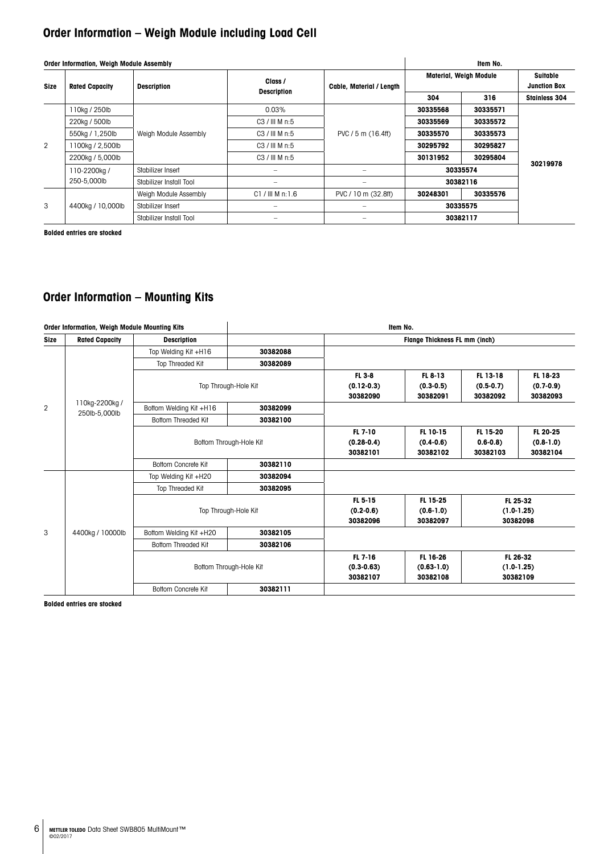# **Order Information – Weigh Module including Load Cell**

|                | Order Information, Weigh Module Assembly |                         | Item No.                 |                                                                           |                               |                                 |                      |
|----------------|------------------------------------------|-------------------------|--------------------------|---------------------------------------------------------------------------|-------------------------------|---------------------------------|----------------------|
| <b>Size</b>    | <b>Rated Capacity</b>                    | <b>Description</b>      | Class /                  | Cable, Material / Length                                                  | <b>Material, Weigh Module</b> | Suitable<br><b>Junction Box</b> |                      |
|                |                                          |                         | <b>Description</b>       |                                                                           | 304                           | 316                             | <b>Stainless 304</b> |
|                | 110kg / 250lb<br>220kg / 500lb           |                         | $0.03\%$                 |                                                                           | 30335568                      | 30335571                        |                      |
|                |                                          |                         | C3 / HIM n:5             |                                                                           | 30335569                      | 30335572                        |                      |
| $\overline{2}$ | 550kg / 1,250lb                          | Weigh Module Assembly   | C3 / HIMn:5              | PVC / 5 m (16.4ff)                                                        | 30335570                      | 30335573                        |                      |
|                | 1100kg / 2,500lb                         |                         | C3 / HIMn:5              |                                                                           | 30295792                      | 30295827                        |                      |
|                | 2200kg / 5,000lb                         |                         | $C3$ / III M n:5         |                                                                           | 30131952                      | 30295804                        |                      |
|                | 110-2200kg /                             | Stabilizer Insert       | $\overline{\phantom{a}}$ | $\overline{\phantom{a}}$                                                  | 30335574                      |                                 | 30219978             |
|                | 250-5,000lb                              | Stabilizer Install Tool |                          |                                                                           | 30382116                      |                                 |                      |
|                |                                          | Weigh Module Assembly   | $C1 / III$ M n: 1.6      | PVC / 10 m (32.8ff)                                                       | 30248301                      | 30335576                        |                      |
| 3              | 4400kg / 10,000lb                        | Stabilizer Insert       |                          | $\hspace{1.0cm} \rule{1.5cm}{0.15cm} \hspace{1.0cm} \rule{1.5cm}{0.15cm}$ | 30335575                      |                                 |                      |
|                |                                          | Stabilizer Install Tool |                          |                                                                           | 30382117                      |                                 |                      |

**Bolded entries are stocked**

# **Order Information – Mounting Kits**

| Order Information, Weigh Module Mounting Kits |                                 |                            | Item No.                |                                       |                                        |                                     |                                     |  |  |
|-----------------------------------------------|---------------------------------|----------------------------|-------------------------|---------------------------------------|----------------------------------------|-------------------------------------|-------------------------------------|--|--|
| <b>Size</b>                                   | <b>Rated Capacity</b>           | <b>Description</b>         |                         |                                       | Flange Thickness FL mm (inch)          |                                     |                                     |  |  |
|                                               |                                 | Top Welding Kit +H16       | 30382088                |                                       |                                        |                                     |                                     |  |  |
| $\overline{2}$                                |                                 | Top Threaded Kit           | 30382089                |                                       |                                        |                                     |                                     |  |  |
|                                               |                                 |                            | Top Through-Hole Kit    | FL 3-8<br>$(0.12 - 0.3)$<br>30382090  | FL 8-13<br>$(0.3 - 0.5)$<br>30382091   | FL 13-18<br>$(0.5-0.7)$<br>30382092 | FL 18-23<br>$(0.7-0.9)$<br>30382093 |  |  |
|                                               | 110kg-2200kg /<br>250lb-5,000lb | Bottom Welding Kit +H16    | 30382099                |                                       |                                        |                                     |                                     |  |  |
|                                               |                                 | <b>Bottom Threaded Kit</b> | 30382100                |                                       |                                        |                                     |                                     |  |  |
|                                               |                                 |                            | Bottom Through-Hole Kit | FL 7-10<br>$(0.28 - 0.4)$<br>30382101 | FL 10-15<br>$(0.4-0.6)$<br>30382102    | FL 15-20<br>$0.6 - 0.8$<br>30382103 | FL 20-25<br>$(0.8-1.0)$<br>30382104 |  |  |
|                                               |                                 | Bottom Concrete Kit        | 30382110                |                                       |                                        |                                     |                                     |  |  |
|                                               |                                 | Top Welding Kit +H20       | 30382094                |                                       |                                        |                                     |                                     |  |  |
|                                               |                                 | Top Threaded Kit           | 30382095                |                                       |                                        |                                     |                                     |  |  |
|                                               |                                 |                            | Top Through-Hole Kit    | FL 5-15<br>$(0.2 - 0.6)$<br>30382096  | FL 15-25<br>$(0.6-1.0)$<br>30382097    | $(1.0-1.25)$<br>30382098            | FL 25-32                            |  |  |
| 3                                             | 4400kg / 10000lb                | Bottom Welding Kit +H20    | 30382105                |                                       |                                        |                                     |                                     |  |  |
|                                               |                                 | <b>Bottom Threaded Kit</b> | 30382106                |                                       |                                        |                                     |                                     |  |  |
|                                               |                                 |                            | Bottom Through-Hole Kit | FL 7-16<br>$(0.3 - 0.63)$<br>30382107 | FL 16-26<br>$(0.63 - 1.0)$<br>30382108 | $(1.0-1.25)$<br>30382109            | FL 26-32                            |  |  |
|                                               |                                 | <b>Bottom Concrete Kit</b> | 30382111                |                                       |                                        |                                     |                                     |  |  |

**Bolded entries are stocked**